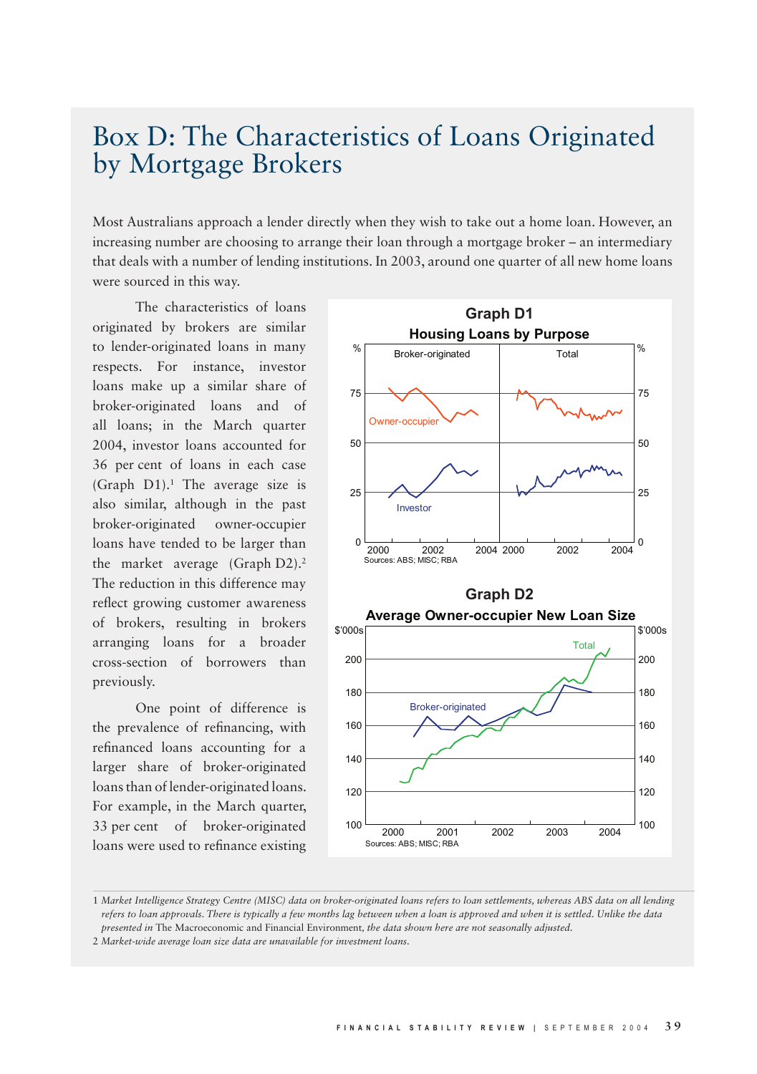## Box D: The Characteristics of Loans Originated by Mortgage Brokers

Most Australians approach a lender directly when they wish to take out a home loan. However, an increasing number are choosing to arrange their loan through a mortgage broker – an intermediary that deals with a number of lending institutions. In 2003, around one quarter of all new home loans were sourced in this way.

The characteristics of loans originated by brokers are similar to lender-originated loans in many respects. For instance, investor loans make up a similar share of broker-originated loans and of all loans; in the March quarter 2004, investor loans accounted for 36 per cent of loans in each case (Graph D1).1 The average size is also similar, although in the past broker-originated owner-occupier loans have tended to be larger than the market average (Graph D2).<sup>2</sup> The reduction in this difference may reflect growing customer awareness of brokers, resulting in brokers arranging loans for a broader cross-section of borrowers than previously.

One point of difference is the prevalence of refinancing, with refinanced loans accounting for a larger share of broker-originated loans than of lender-originated loans. For example, in the March quarter, 33 per cent of broker-originated loans were used to refinance existing



<sup>1</sup> *Market Intelligence Strategy Centre (MISC) data on broker-originated loans refers to loan settlements, whereas ABS data on all lending refers to loan approvals. There is typically a few months lag between when a loan is approved and when it is settled. Unlike the data presented in* The Macroeconomic and Financial Environment*, the data shown here are not seasonally adjusted.*

2 *Market-wide average loan size data are unavailable for investment loans.*